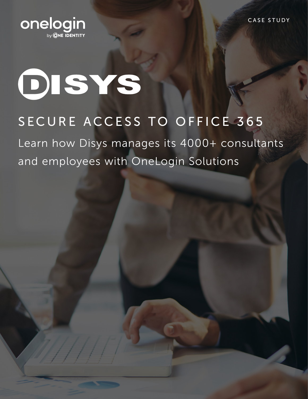

# **DISYS**

# SECURE ACCESS TO OFFICE 365

Learn how Disys manages its 4000+ consultants and employees with OneLogin Solutions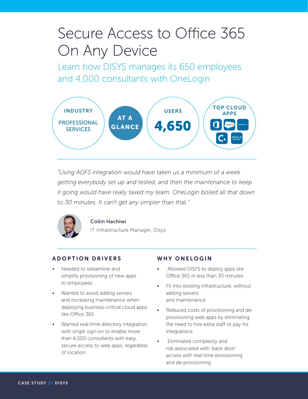# Secure Access to Office 365 On Any Device

Learn how DISYS manages its 650 employees and 4,000 consultants with OneLogin



*"Using ADFS integration would have taken us a minimum of a week getting everybody set up and tested, and then the maintenance to keep it going would have really taxed my team. OneLogin boiled all that down to 30 minutes. It can't get any simpler than that."*



# Collin Hachiwi

IT Infrastructure Manager, Disys

# ADOPTION DRIVERS

- Needed to streamline and simplify provisioning of new apps to employees
- Wanted to avoid adding servers and increasing maintenance when deploying business-critical cloud apps like Office 365
- Wanted real-time directory integration with single sign-on to enable more than 4,000 consultants with easy, secure access to web apps, regardless of location

### WHY ONELOGIN

- Allowed DISYS to deploy apps like Office 365 in less than 30 minutes
- Fit into existing infrastructure, without adding servers and maintenance
- Reduced costs of provisioning and deprovisioning web apps by eliminating the need to hire extra staff or pay for integrations
- Eliminated complexity and risk associated with 'back door' access with real-time provisioning and de-provisioning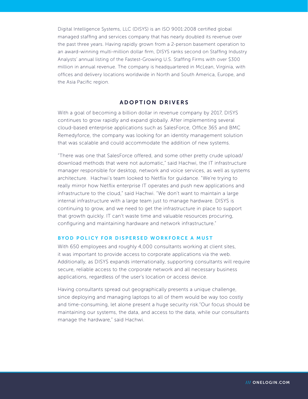Digital Intelligence Systems, LLC (DISYS) is an ISO 9001:2008 certified global managed staffing and services company that has nearly doubled its revenue over the past three years. Having rapidly grown from a 2-person basement operation to an award-winning multi-million dollar firm, DISYS ranks second on Staffing Industry Analysts' annual listing of the Fastest-Growing U.S. Staffing Firms with over \$300 million in annual revenue. The company is headquartered in McLean, Virginia, with offices and delivery locations worldwide in North and South America, Europe, and the Asia Pacific region.

#### ADOPTION DRIVERS

With a goal of becoming a billion dollar in revenue company by 2017, DISYS continues to grow rapidly and expand globally. After implementing several cloud-based enterprise applications such as SalesForce, Office 365 and BMC Remedyforce, the company was looking for an identity management solution that was scalable and could accommodate the addition of new systems.

"There was one that SalesForce offered, and some other pretty crude upload/ download methods that were not automatic," said Hachwi, the IT infrastructure manager responsible for desktop, network and voice services, as well as systems architecture. Hachwi's team looked to Netflix for guidance. "We're trying to really mirror how Netflix enterprise IT operates and push new applications and infrastructure to the cloud," said Hachwi. "We don't want to maintain a large internal infrastructure with a large team just to manage hardware. DISYS is continuing to grow, and we need to get the infrastructure in place to support that growth quickly. IT can't waste time and valuable resources procuring, configuring and maintaining hardware and network infrastructure."

#### BYOD POLICY FOR DISPERSED WORKFORCE A MUST

With 650 employees and roughly 4,000 consultants working at client sites, it was important to provide access to corporate applications via the web. Additionally, as DISYS expands internationally, supporting consultants will require secure, reliable access to the corporate network and all necessary business applications, regardless of the user's location or access device.

Having consultants spread out geographically presents a unique challenge, since deploying and managing laptops to all of them would be way too costly and time-consuming, let alone present a huge security risk."Our focus should be maintaining our systems, the data, and access to the data, while our consultants manage the hardware," said Hachwi.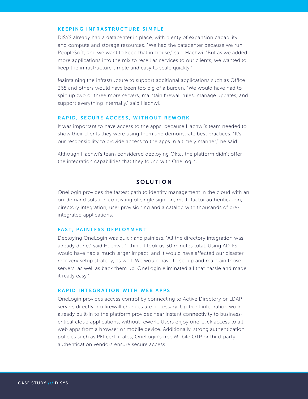#### KEEPING INFRASTRUCTURE SIMPLE

DISYS already had a datacenter in place, with plenty of expansion capability and compute and storage resources. "We had the datacenter because we run PeopleSoft, and we want to keep that in-house," said Hachwi. "But as we added more applications into the mix to resell as services to our clients, we wanted to keep the infrastructure simple and easy to scale quickly."

Maintaining the infrastructure to support additional applications such as Office 365 and others would have been too big of a burden. "We would have had to spin up two or three more servers, maintain firewall rules, manage updates, and support everything internally." said Hachwi.

#### RAPID, SECURE ACCESS, WITHOUT REWORK

It was important to have access to the apps, because Hachwi's team needed to show their clients they were using them and demonstrate best practices. "It's our responsibility to provide access to the apps in a timely manner," he said.

Although Hachwi's team considered deploying Okta, the platform didn't offer the integration capabilities that they found with OneLogin.

## **SOLUTION**

OneLogin provides the fastest path to identity management in the cloud with an on-demand solution consisting of single sign-on, multi-factor authentication, directory integration, user provisioning and a catalog with thousands of preintegrated applications.

#### FAST, PAINLESS DEPLOYMENT

Deploying OneLogin was quick and painless. "All the directory integration was already done," said Hachwi. "I think it took us 30 minutes total. Using AD-FS would have had a much larger impact, and it would have affected our disaster recovery setup strategy, as well. We would have to set up and maintain those servers, as well as back them up. OneLogin eliminated all that hassle and made it really easy."

#### RAPID INTEGRATION WITH WEB APPS

OneLogin provides access control by connecting to Active Directory or LDAP servers directly; no firewall changes are necessary. Up-front integration work already built-in to the platform provides near instant connectivity to businesscritical cloud applications, without rework. Users enjoy one-click access to all web apps from a browser or mobile device. Additionally, strong authentication policies such as PKI certificates, OneLogin's free Mobile OTP or third-party authentication vendors ensure secure access.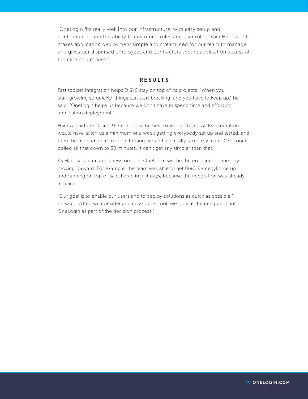"OneLogin fits really well into our infrastructure, with easy setup and configuration, and the ability to customize rules and user roles," said Hachwi. "It makes application deployment simple and streamlined for our team to manage and gives our dispersed employees and contractors secure application access at the click of a mouse."

#### RESULTS

Fast toolset integration helps DISYS stay on top of its projects. "When you start growing so quickly, things can start breaking, and you have to keep up," he said. "OneLogin helps us because we don't have to spend time and effort on application deployment."

Hachwi said the Office 365 roll out is the best example. "Using ADFS integration would have taken us a minimum of a week getting everybody set up and tested, and then the maintenance to keep it going would have really taxed my team. OneLogin boiled all that down to 30 minutes. It can't get any simpler than that."

As Hachwi's team adds new toolsets, OneLogin will be the enabling technology moving forward. For example, the team was able to get BMC RemedyForce up and running on top of SalesForce in just days, because the integration was already in place.

"Our goal is to enable our users and to deploy solutions as quick as possible," he said. "When we consider adding another tool, we look at the integration into OneLogin as part of the decision process."